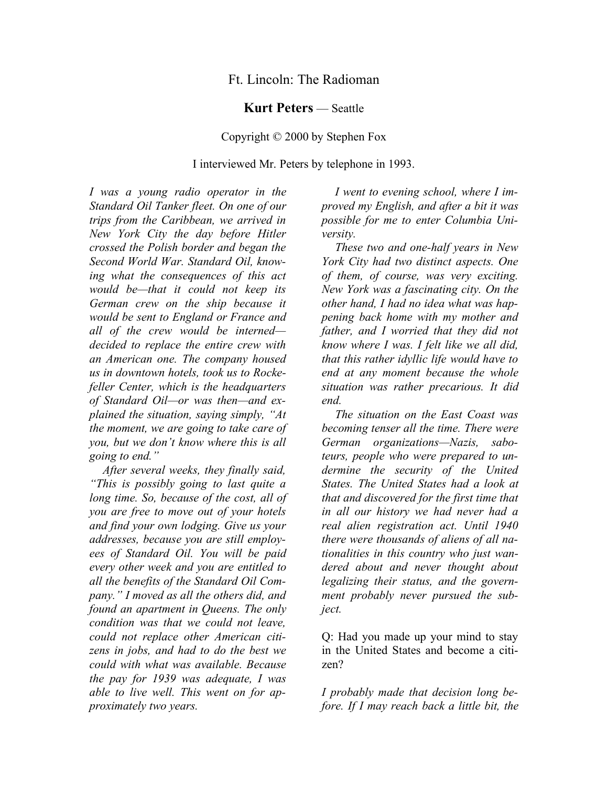## Ft. Lincoln: The Radioman

## **Kurt Peters** — Seattle

## Copyright © 2000 by Stephen Fox

## I interviewed Mr. Peters by telephone in 1993.

*I was a young radio operator in the Standard Oil Tanker fleet. On one of our trips from the Caribbean, we arrived in New York City the day before Hitler crossed the Polish border and began the Second World War. Standard Oil, knowing what the consequences of this act would be—that it could not keep its German crew on the ship because it would be sent to England or France and all of the crew would be interned decided to replace the entire crew with an American one. The company housed us in downtown hotels, took us to Rockefeller Center, which is the headquarters of Standard Oil—or was then—and explained the situation, saying simply, "At the moment, we are going to take care of you, but we don't know where this is all going to end."* 

*After several weeks, they finally said, "This is possibly going to last quite a long time. So, because of the cost, all of you are free to move out of your hotels and find your own lodging. Give us your addresses, because you are still employees of Standard Oil. You will be paid every other week and you are entitled to all the benefits of the Standard Oil Company." I moved as all the others did, and found an apartment in Queens. The only condition was that we could not leave, could not replace other American citizens in jobs, and had to do the best we could with what was available. Because the pay for 1939 was adequate, I was able to live well. This went on for approximately two years.* 

*I went to evening school, where I improved my English, and after a bit it was possible for me to enter Columbia University.* 

*These two and one-half years in New York City had two distinct aspects. One of them, of course, was very exciting. New York was a fascinating city. On the other hand, I had no idea what was happening back home with my mother and father, and I worried that they did not know where I was. I felt like we all did, that this rather idyllic life would have to end at any moment because the whole situation was rather precarious. It did end.* 

*The situation on the East Coast was becoming tenser all the time. There were German organizations—Nazis, saboteurs, people who were prepared to undermine the security of the United States. The United States had a look at that and discovered for the first time that in all our history we had never had a real alien registration act. Until 1940 there were thousands of aliens of all nationalities in this country who just wandered about and never thought about legalizing their status, and the government probably never pursued the subject.*

Q: Had you made up your mind to stay in the United States and become a citizen?

*I probably made that decision long before. If I may reach back a little bit, the*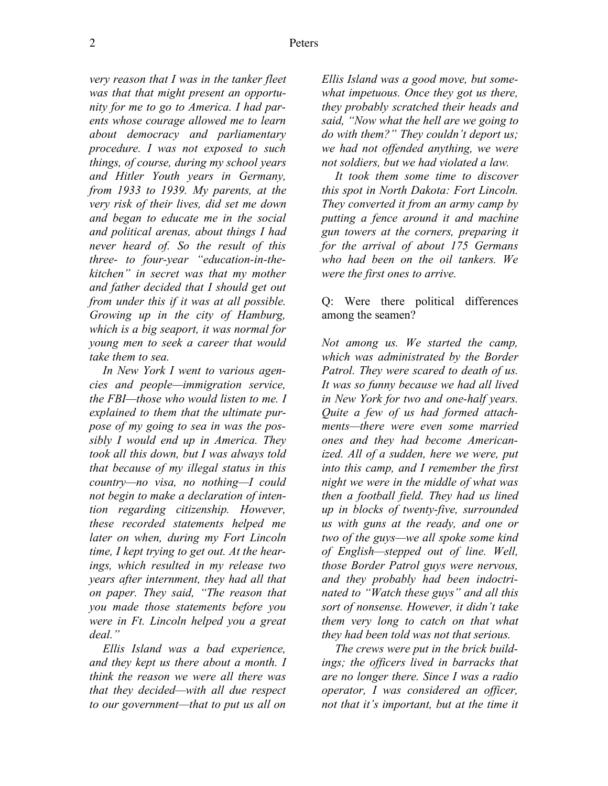*very reason that I was in the tanker fleet was that that might present an opportunity for me to go to America. I had parents whose courage allowed me to learn about democracy and parliamentary procedure. I was not exposed to such things, of course, during my school years and Hitler Youth years in Germany, from 1933 to 1939. My parents, at the very risk of their lives, did set me down and began to educate me in the social and political arenas, about things I had never heard of. So the result of this three- to four-year "education-in-thekitchen" in secret was that my mother and father decided that I should get out from under this if it was at all possible. Growing up in the city of Hamburg, which is a big seaport, it was normal for young men to seek a career that would take them to sea.* 

*In New York I went to various agencies and people—immigration service, the FBI—those who would listen to me. I explained to them that the ultimate purpose of my going to sea in was the possibly I would end up in America. They took all this down, but I was always told that because of my illegal status in this country—no visa, no nothing—I could not begin to make a declaration of intention regarding citizenship. However, these recorded statements helped me later on when, during my Fort Lincoln time, I kept trying to get out. At the hearings, which resulted in my release two years after internment, they had all that on paper. They said, "The reason that you made those statements before you were in Ft. Lincoln helped you a great deal."* 

*Ellis Island was a bad experience, and they kept us there about a month. I think the reason we were all there was that they decided—with all due respect to our government—that to put us all on* 

*Ellis Island was a good move, but somewhat impetuous. Once they got us there, they probably scratched their heads and said, "Now what the hell are we going to do with them?" They couldn't deport us; we had not offended anything, we were not soldiers, but we had violated a law.* 

*It took them some time to discover this spot in North Dakota: Fort Lincoln. They converted it from an army camp by putting a fence around it and machine gun towers at the corners, preparing it for the arrival of about 175 Germans who had been on the oil tankers. We were the first ones to arrive.*

Q: Were there political differences among the seamen?

*Not among us. We started the camp, which was administrated by the Border Patrol. They were scared to death of us. It was so funny because we had all lived in New York for two and one-half years. Quite a few of us had formed attachments—there were even some married ones and they had become Americanized. All of a sudden, here we were, put into this camp, and I remember the first night we were in the middle of what was then a football field. They had us lined up in blocks of twenty-five, surrounded us with guns at the ready, and one or two of the guys—we all spoke some kind of English—stepped out of line. Well, those Border Patrol guys were nervous, and they probably had been indoctrinated to "Watch these guys" and all this sort of nonsense. However, it didn't take them very long to catch on that what they had been told was not that serious.* 

*The crews were put in the brick buildings; the officers lived in barracks that are no longer there. Since I was a radio operator, I was considered an officer, not that it's important, but at the time it*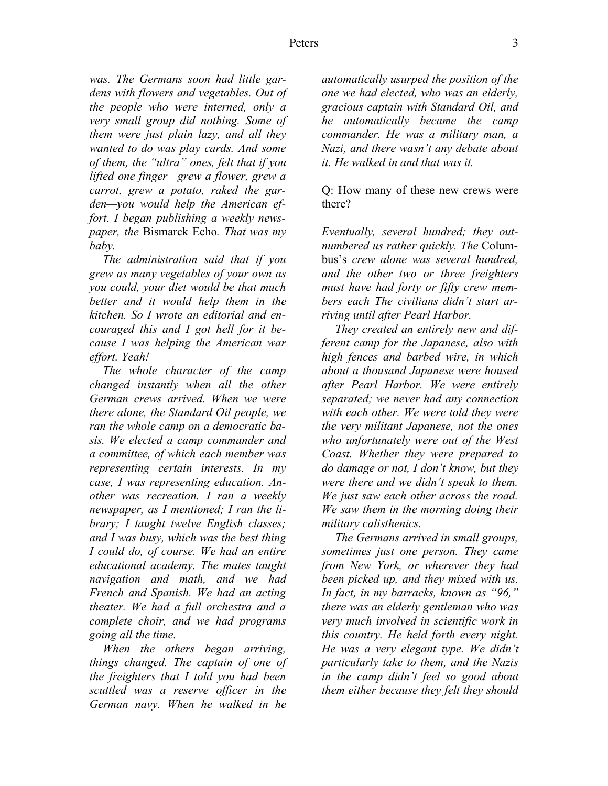*was. The Germans soon had little gardens with flowers and vegetables. Out of the people who were interned, only a very small group did nothing. Some of them were just plain lazy, and all they wanted to do was play cards. And some of them, the "ultra" ones, felt that if you lifted one finger—grew a flower, grew a carrot, grew a potato, raked the garden—you would help the American effort. I began publishing a weekly newspaper, the* Bismarck Echo*. That was my baby.* 

*The administration said that if you grew as many vegetables of your own as you could, your diet would be that much better and it would help them in the kitchen. So I wrote an editorial and encouraged this and I got hell for it because I was helping the American war effort. Yeah!* 

*The whole character of the camp changed instantly when all the other German crews arrived. When we were there alone, the Standard Oil people, we ran the whole camp on a democratic basis. We elected a camp commander and a committee, of which each member was representing certain interests. In my case, I was representing education. Another was recreation. I ran a weekly newspaper, as I mentioned; I ran the library; I taught twelve English classes; and I was busy, which was the best thing I could do, of course. We had an entire educational academy. The mates taught navigation and math, and we had French and Spanish. We had an acting theater. We had a full orchestra and a complete choir, and we had programs going all the time.*

*When the others began arriving, things changed. The captain of one of the freighters that I told you had been scuttled was a reserve officer in the German navy. When he walked in he* 

*automatically usurped the position of the one we had elected, who was an elderly, gracious captain with Standard Oil, and he automatically became the camp commander. He was a military man, a Nazi, and there wasn't any debate about it. He walked in and that was it.*

Q: How many of these new crews were there?

*Eventually, several hundred; they outnumbered us rather quickly. The* Columbus's *crew alone was several hundred, and the other two or three freighters must have had forty or fifty crew members each The civilians didn't start arriving until after Pearl Harbor.* 

*They created an entirely new and different camp for the Japanese, also with high fences and barbed wire, in which about a thousand Japanese were housed after Pearl Harbor. We were entirely separated; we never had any connection with each other. We were told they were the very militant Japanese, not the ones who unfortunately were out of the West Coast. Whether they were prepared to do damage or not, I don't know, but they were there and we didn't speak to them. We just saw each other across the road. We saw them in the morning doing their military calisthenics.* 

*The Germans arrived in small groups, sometimes just one person. They came from New York, or wherever they had been picked up, and they mixed with us. In fact, in my barracks, known as "96," there was an elderly gentleman who was very much involved in scientific work in this country. He held forth every night. He was a very elegant type. We didn't particularly take to them, and the Nazis in the camp didn't feel so good about them either because they felt they should*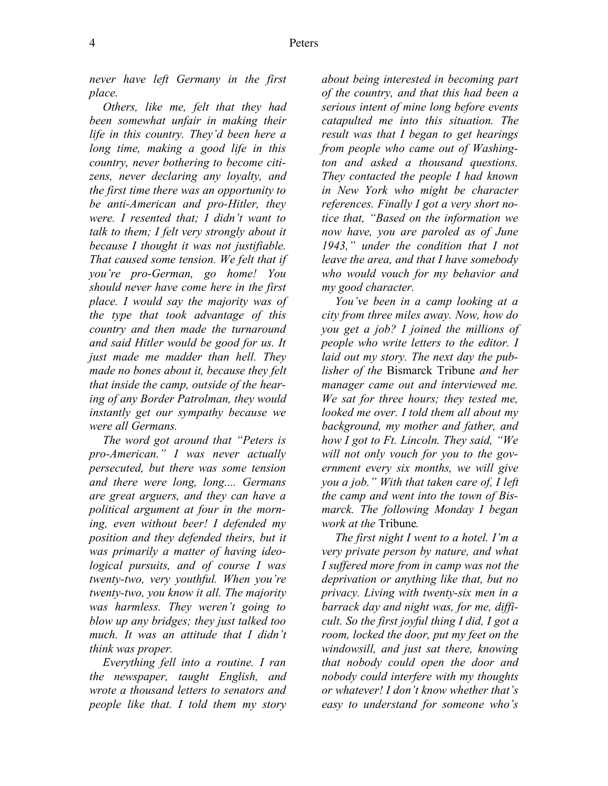*never have left Germany in the first place.* 

*Others, like me, felt that they had been somewhat unfair in making their life in this country. They'd been here a long time, making a good life in this country, never bothering to become citizens, never declaring any loyalty, and the first time there was an opportunity to be anti-American and pro-Hitler, they were. I resented that; I didn't want to talk to them; I felt very strongly about it because I thought it was not justifiable. That caused some tension. We felt that if you're pro-German, go home! You should never have come here in the first place. I would say the majority was of the type that took advantage of this country and then made the turnaround and said Hitler would be good for us. It just made me madder than hell. They made no bones about it, because they felt that inside the camp, outside of the hearing of any Border Patrolman, they would instantly get our sympathy because we were all Germans.*

*The word got around that "Peters is pro-American." I was never actually persecuted, but there was some tension and there were long, long.... Germans are great arguers, and they can have a political argument at four in the morning, even without beer! I defended my position and they defended theirs, but it was primarily a matter of having ideological pursuits, and of course I was twenty-two, very youthful. When you're twenty-two, you know it all. The majority was harmless. They weren't going to blow up any bridges; they just talked too much. It was an attitude that I didn't think was proper.* 

*Everything fell into a routine. I ran the newspaper, taught English, and wrote a thousand letters to senators and people like that. I told them my story* 

*about being interested in becoming part of the country, and that this had been a serious intent of mine long before events catapulted me into this situation. The result was that I began to get hearings from people who came out of Washington and asked a thousand questions. They contacted the people I had known in New York who might be character references. Finally I got a very short notice that, "Based on the information we now have, you are paroled as of June 1943," under the condition that I not leave the area, and that I have somebody who would vouch for my behavior and my good character.* 

*You've been in a camp looking at a city from three miles away. Now, how do you get a job? I joined the millions of people who write letters to the editor. I laid out my story. The next day the publisher of the* Bismarck Tribune *and her manager came out and interviewed me. We sat for three hours; they tested me, looked me over. I told them all about my background, my mother and father, and how I got to Ft. Lincoln. They said, "We will not only vouch for you to the government every six months, we will give you a job." With that taken care of, I left the camp and went into the town of Bismarck. The following Monday I began work at the* Tribune*.* 

*The first night I went to a hotel. I'm a very private person by nature, and what I suffered more from in camp was not the deprivation or anything like that, but no privacy. Living with twenty-six men in a barrack day and night was, for me, difficult. So the first joyful thing I did, I got a room, locked the door, put my feet on the windowsill, and just sat there, knowing that nobody could open the door and nobody could interfere with my thoughts or whatever! I don't know whether that's easy to understand for someone who's*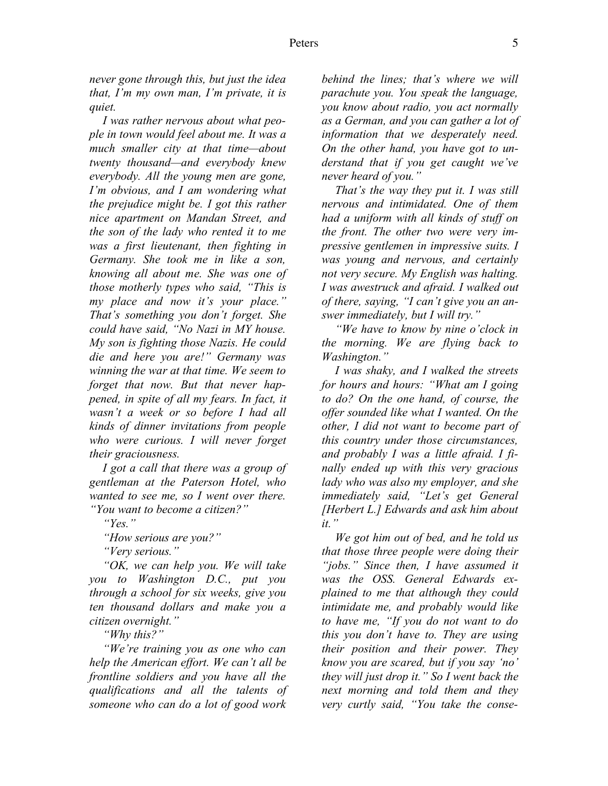*never gone through this, but just the idea that, I'm my own man, I'm private, it is quiet.*

*I was rather nervous about what people in town would feel about me. It was a much smaller city at that time—about twenty thousand—and everybody knew everybody. All the young men are gone, I'm obvious, and I am wondering what the prejudice might be. I got this rather nice apartment on Mandan Street, and the son of the lady who rented it to me was a first lieutenant, then fighting in Germany. She took me in like a son, knowing all about me. She was one of those motherly types who said, "This is my place and now it's your place." That's something you don't forget. She could have said, "No Nazi in MY house. My son is fighting those Nazis. He could die and here you are!" Germany was winning the war at that time. We seem to forget that now. But that never happened, in spite of all my fears. In fact, it wasn't a week or so before I had all kinds of dinner invitations from people who were curious. I will never forget their graciousness.* 

*I got a call that there was a group of gentleman at the Paterson Hotel, who wanted to see me, so I went over there. "You want to become a citizen?"* 

*"Yes."* 

*"How serious are you?"* 

*"Very serious."* 

*"OK, we can help you. We will take you to Washington D.C., put you through a school for six weeks, give you ten thousand dollars and make you a citizen overnight."* 

*"Why this?"* 

*"We're training you as one who can help the American effort. We can't all be frontline soldiers and you have all the qualifications and all the talents of someone who can do a lot of good work* 

*behind the lines; that's where we will parachute you. You speak the language, you know about radio, you act normally as a German, and you can gather a lot of information that we desperately need. On the other hand, you have got to understand that if you get caught we've never heard of you."* 

*That's the way they put it. I was still nervous and intimidated. One of them had a uniform with all kinds of stuff on the front. The other two were very impressive gentlemen in impressive suits. I was young and nervous, and certainly not very secure. My English was halting. I was awestruck and afraid. I walked out of there, saying, "I can't give you an answer immediately, but I will try."* 

*"We have to know by nine o'clock in the morning. We are flying back to Washington."*

*I was shaky, and I walked the streets for hours and hours: "What am I going to do? On the one hand, of course, the offer sounded like what I wanted. On the other, I did not want to become part of this country under those circumstances, and probably I was a little afraid. I finally ended up with this very gracious lady who was also my employer, and she immediately said, "Let's get General [Herbert L.] Edwards and ask him about it."* 

*We got him out of bed, and he told us that those three people were doing their "jobs." Since then, I have assumed it was the OSS. General Edwards explained to me that although they could intimidate me, and probably would like to have me, "If you do not want to do this you don't have to. They are using their position and their power. They know you are scared, but if you say 'no' they will just drop it." So I went back the next morning and told them and they very curtly said, "You take the conse-*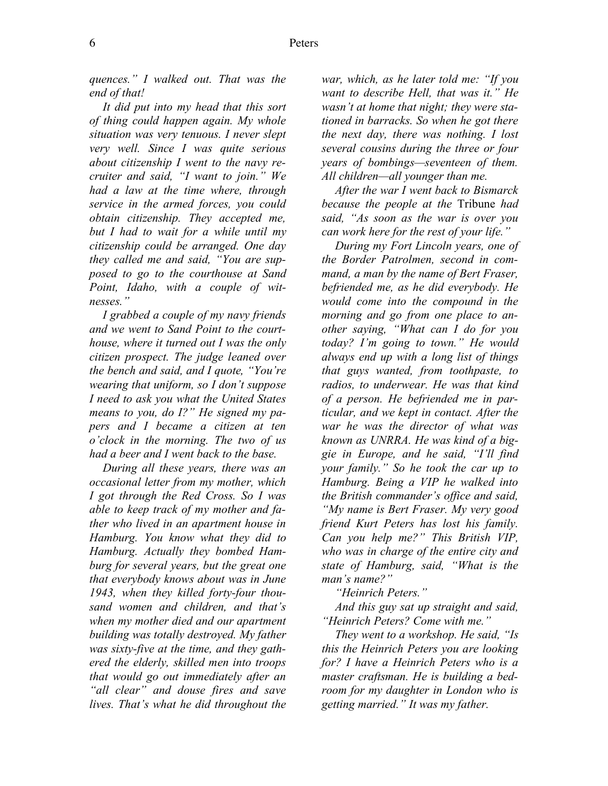*quences." I walked out. That was the end of that!* 

*It did put into my head that this sort of thing could happen again. My whole situation was very tenuous. I never slept very well. Since I was quite serious about citizenship I went to the navy recruiter and said, "I want to join." We had a law at the time where, through service in the armed forces, you could obtain citizenship. They accepted me, but I had to wait for a while until my citizenship could be arranged. One day they called me and said, "You are supposed to go to the courthouse at Sand Point, Idaho, with a couple of witnesses."* 

*I grabbed a couple of my navy friends and we went to Sand Point to the courthouse, where it turned out I was the only citizen prospect. The judge leaned over the bench and said, and I quote, "You're wearing that uniform, so I don't suppose I need to ask you what the United States means to you, do I?" He signed my papers and I became a citizen at ten o'clock in the morning. The two of us had a beer and I went back to the base.* 

*During all these years, there was an occasional letter from my mother, which I got through the Red Cross. So I was able to keep track of my mother and father who lived in an apartment house in Hamburg. You know what they did to Hamburg. Actually they bombed Hamburg for several years, but the great one that everybody knows about was in June 1943, when they killed forty-four thousand women and children, and that's when my mother died and our apartment building was totally destroyed. My father was sixty-five at the time, and they gathered the elderly, skilled men into troops that would go out immediately after an "all clear" and douse fires and save lives. That's what he did throughout the* 

*war, which, as he later told me: "If you want to describe Hell, that was it." He wasn't at home that night; they were stationed in barracks. So when he got there the next day, there was nothing. I lost several cousins during the three or four years of bombings—seventeen of them. All children—all younger than me.* 

*After the war I went back to Bismarck because the people at the* Tribune *had said, "As soon as the war is over you can work here for the rest of your life."* 

*During my Fort Lincoln years, one of the Border Patrolmen, second in command, a man by the name of Bert Fraser, befriended me, as he did everybody. He would come into the compound in the morning and go from one place to another saying, "What can I do for you today? I'm going to town." He would always end up with a long list of things that guys wanted, from toothpaste, to radios, to underwear. He was that kind of a person. He befriended me in particular, and we kept in contact. After the war he was the director of what was known as UNRRA. He was kind of a biggie in Europe, and he said, "I'll find your family." So he took the car up to Hamburg. Being a VIP he walked into the British commander's office and said, "My name is Bert Fraser. My very good friend Kurt Peters has lost his family. Can you help me?" This British VIP, who was in charge of the entire city and state of Hamburg, said, "What is the man's name?"* 

*"Heinrich Peters."* 

*And this guy sat up straight and said, "Heinrich Peters? Come with me."* 

*They went to a workshop. He said, "Is this the Heinrich Peters you are looking for? I have a Heinrich Peters who is a master craftsman. He is building a bedroom for my daughter in London who is getting married." It was my father.*